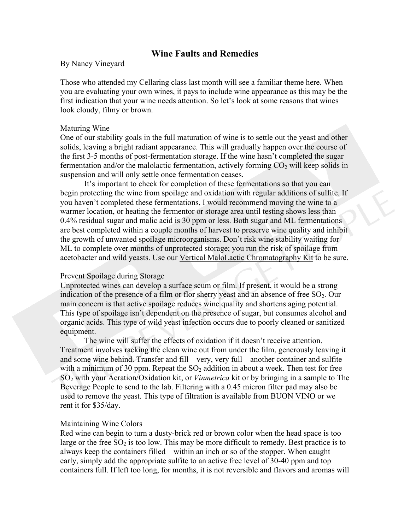## **Wine Faults and Remedies**

By Nancy Vineyard

Those who attended my Cellaring class last month will see a familiar theme here. When you are evaluating your own wines, it pays to include wine appearance as this may be the first indication that your wine needs attention. So let's look at some reasons that wines look cloudy, filmy or brown.

## Maturing Wine

One of our stability goals in the full maturation of wine is to settle out the yeast and other solids, leaving a bright radiant appearance. This will gradually happen over the course of the first 3-5 months of post-fermentation storage. If the wine hasn't completed the sugar fermentation and/or the malolactic fermentation, actively forming  $CO<sub>2</sub>$  will keep solids in suspension and will only settle once fermentation ceases.

It's important to check for completion of these fermentations so that you can begin protecting the wine from spoilage and oxidation with regular additions of sulfite. If you haven't completed these fermentations, I would recommend moving the wine to a warmer location, or heating the fermentor or storage area until testing shows less than 0.4% residual sugar and malic acid is 30 ppm or less. Both sugar and ML fermentations are best completed within a couple months of harvest to preserve wine quality and inhibit the growth of unwanted spoilage microorganisms. Don't risk wine stability waiting for ML to complete over months of unprotected storage; you run the risk of spoilage from acetobacter and wild yeasts. Use our Vertical MaloLactic Chromatography Kit to be sure.

## Prevent Spoilage during Storage

Unprotected wines can develop a surface scum or film. If present, it would be a strong indication of the presence of a film or flor sherry yeast and an absence of free  $SO_2$ . Our main concern is that active spoilage reduces wine quality and shortens aging potential. This type of spoilage isn't dependent on the presence of sugar, but consumes alcohol and organic acids. This type of wild yeast infection occurs due to poorly cleaned or sanitized equipment.

The wine will suffer the effects of oxidation if it doesn't receive attention. Treatment involves racking the clean wine out from under the film, generously leaving it and some wine behind. Transfer and fill – very, very full – another container and sulfite with a minimum of 30 ppm. Repeat the  $SO<sub>2</sub>$  addition in about a week. Then test for free SO2 with your Aeration/Oxidation kit, or *Vinmetrica* kit or by bringing in a sample to The Beverage People to send to the lab. Filtering with a 0.45 micron filter pad may also be used to remove the yeast. This type of filtration is available from BUON VINO or we rent it for \$35/day.

## Maintaining Wine Colors

Red wine can begin to turn a dusty-brick red or brown color when the head space is too large or the free  $SO<sub>2</sub>$  is too low. This may be more difficult to remedy. Best practice is to always keep the containers filled – within an inch or so of the stopper. When caught early, simply add the appropriate sulfite to an active free level of 30-40 ppm and top containers full. If left too long, for months, it is not reversible and flavors and aromas will